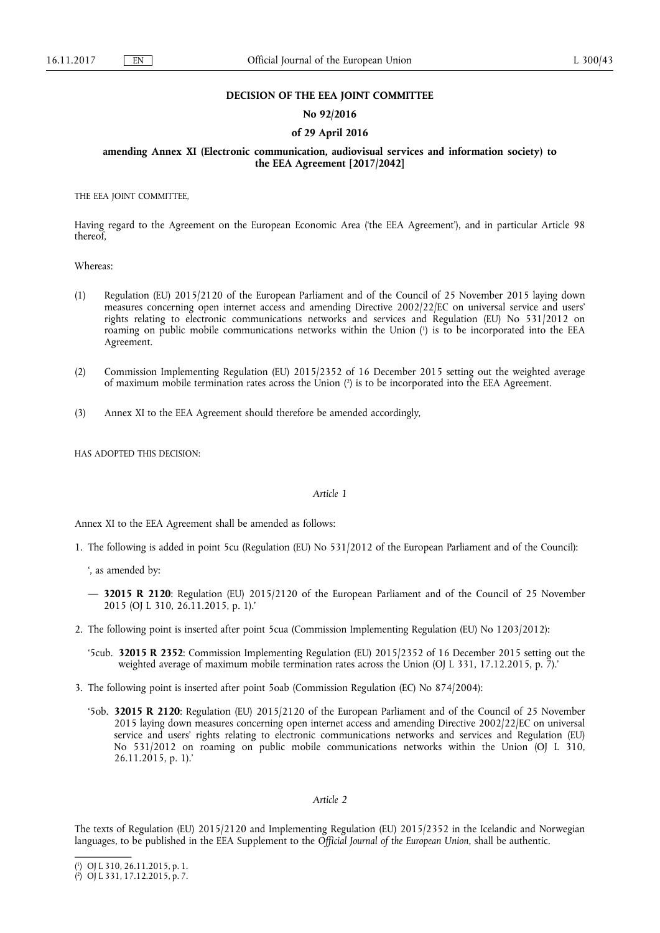## **DECISION OF THE EEA JOINT COMMITTEE**

## **No 92/2016**

# **of 29 April 2016**

**amending Annex XI (Electronic communication, audiovisual services and information society) to the EEA Agreement [2017/2042]** 

THE EEA JOINT COMMITTEE,

Having regard to the Agreement on the European Economic Area ('the EEA Agreement'), and in particular Article 98 thereof,

Whereas:

- (1) Regulation (EU) 2015/2120 of the European Parliament and of the Council of 25 November 2015 laying down measures concerning open internet access and amending Directive 2002/22/EC on universal service and users' rights relating to electronic communications networks and services and Regulation (EU) No 531/2012 on roaming on public mobile communications networks within the Union ( 1 ) is to be incorporated into the EEA Agreement.
- (2) Commission Implementing Regulation (EU) 2015/2352 of 16 December 2015 setting out the weighted average of maximum mobile termination rates across the Union ( 2 ) is to be incorporated into the EEA Agreement.
- (3) Annex XI to the EEA Agreement should therefore be amended accordingly,

HAS ADOPTED THIS DECISION:

#### *Article 1*

Annex XI to the EEA Agreement shall be amended as follows:

- 1. The following is added in point 5cu (Regulation (EU) No 531/2012 of the European Parliament and of the Council):
	- ', as amended by:
	- **32015 R 2120**: Regulation (EU) 2015/2120 of the European Parliament and of the Council of 25 November 2015 (OJ L 310, 26.11.2015, p. 1).'
- 2. The following point is inserted after point 5cua (Commission Implementing Regulation (EU) No 1203/2012):
	- '5cub. **32015 R 2352**: Commission Implementing Regulation (EU) 2015/2352 of 16 December 2015 setting out the weighted average of maximum mobile termination rates across the Union (OJ L 331, 17.12.2015, p. 7).
- 3. The following point is inserted after point 5oab (Commission Regulation (EC) No 874/2004):
	- '5ob. **32015 R 2120**: Regulation (EU) 2015/2120 of the European Parliament and of the Council of 25 November 2015 laying down measures concerning open internet access and amending Directive 2002/22/EC on universal service and users' rights relating to electronic communications networks and services and Regulation (EU) No 531/2012 on roaming on public mobile communications networks within the Union (OJ L 310, 26.11.2015, p. 1).'

## *Article 2*

The texts of Regulation (EU) 2015/2120 and Implementing Regulation (EU) 2015/2352 in the Icelandic and Norwegian languages, to be published in the EEA Supplement to the *Official Journal of the European Union*, shall be authentic.

<sup>(</sup> 1 ) OJ L 310, 26.11.2015, p. 1.

<sup>(</sup> 2 ) OJ L 331, 17.12.2015, p. 7.